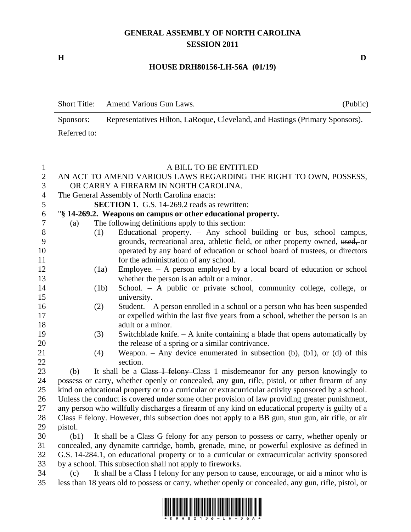# **GENERAL ASSEMBLY OF NORTH CAROLINA SESSION 2011**

**H D**

# **HOUSE DRH80156-LH-56A (01/19)**

| <b>Short Title:</b> | Amend Various Gun Laws.                                                      | (Public) |
|---------------------|------------------------------------------------------------------------------|----------|
| Sponsors:           | Representatives Hilton, LaRoque, Cleveland, and Hastings (Primary Sponsors). |          |
| Referred to:        |                                                                              |          |

#### A BILL TO BE ENTITLED

| $\overline{2}$ |         |      | AN ACT TO AMEND VARIOUS LAWS REGARDING THE RIGHT TO OWN, POSSESS,                                  |
|----------------|---------|------|----------------------------------------------------------------------------------------------------|
| 3              |         |      | OR CARRY A FIREARM IN NORTH CAROLINA.                                                              |
| $\overline{4}$ |         |      | The General Assembly of North Carolina enacts:                                                     |
| 5              |         |      | <b>SECTION 1.</b> G.S. 14-269.2 reads as rewritten:                                                |
| 6              |         |      | "§ 14-269.2. Weapons on campus or other educational property.                                      |
| $\tau$         | (a)     |      | The following definitions apply to this section:                                                   |
| $8\,$          |         | (1)  | Educational property. - Any school building or bus, school campus,                                 |
| 9              |         |      | grounds, recreational area, athletic field, or other property owned, used, or                      |
| 10             |         |      | operated by any board of education or school board of trustees, or directors                       |
| 11             |         |      | for the administration of any school.                                                              |
| 12             |         | (1a) | Employee. $-$ A person employed by a local board of education or school                            |
| 13             |         |      | whether the person is an adult or a minor.                                                         |
| 14             |         | (1b) | School. - A public or private school, community college, college, or                               |
| 15             |         |      | university.                                                                                        |
| 16             |         | (2)  | Student. – A person enrolled in a school or a person who has been suspended                        |
| 17             |         |      | or expelled within the last five years from a school, whether the person is an                     |
| 18             |         |      | adult or a minor.                                                                                  |
| 19             |         | (3)  | Switchblade knife. $- A$ knife containing a blade that opens automatically by                      |
| 20             |         |      | the release of a spring or a similar contrivance.                                                  |
| 21             |         | (4)  | Weapon. – Any device enumerated in subsection $(b)$ , $(b1)$ , or $(d)$ of this                    |
| 22             |         |      | section.                                                                                           |
| 23             | (b)     |      | It shall be a Class I felony Class 1 misdemeanor for any person knowingly to                       |
| 24             |         |      | possess or carry, whether openly or concealed, any gun, rifle, pistol, or other firearm of any     |
| 25             |         |      | kind on educational property or to a curricular or extracurricular activity sponsored by a school. |
| 26             |         |      | Unless the conduct is covered under some other provision of law providing greater punishment,      |
| 27             |         |      | any person who willfully discharges a firearm of any kind on educational property is guilty of a   |
| 28             |         |      | Class F felony. However, this subsection does not apply to a BB gun, stun gun, air rifle, or air   |
| 29             | pistol. |      |                                                                                                    |
| 30             | (b1)    |      | It shall be a Class G felony for any person to possess or carry, whether openly or                 |
| 31             |         |      | concealed, any dynamite cartridge, bomb, grenade, mine, or powerful explosive as defined in        |
| 32             |         |      | G.S. 14-284.1, on educational property or to a curricular or extracurricular activity sponsored    |

by a school. This subsection shall not apply to fireworks.

 (c) It shall be a Class I felony for any person to cause, encourage, or aid a minor who is less than 18 years old to possess or carry, whether openly or concealed, any gun, rifle, pistol, or

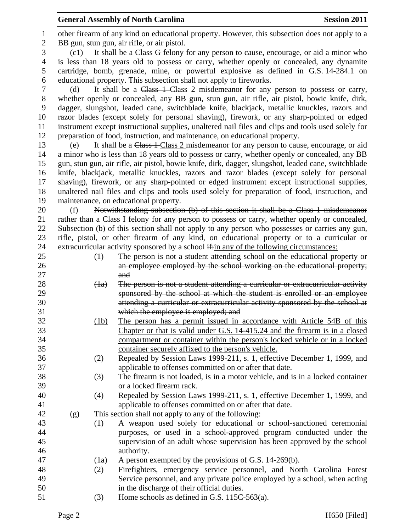other firearm of any kind on educational property. However, this subsection does not apply to a BB gun, stun gun, air rifle, or air pistol. (c1) It shall be a Class G felony for any person to cause, encourage, or aid a minor who is less than 18 years old to possess or carry, whether openly or concealed, any dynamite cartridge, bomb, grenade, mine, or powerful explosive as defined in G.S. 14-284.1 on educational property. This subsection shall not apply to fireworks. (d) It shall be a Class 1 Class 2 misdemeanor for any person to possess or carry, whether openly or concealed, any BB gun, stun gun, air rifle, air pistol, bowie knife, dirk, dagger, slungshot, leaded cane, switchblade knife, blackjack, metallic knuckles, razors and razor blades (except solely for personal shaving), firework, or any sharp-pointed or edged instrument except instructional supplies, unaltered nail files and clips and tools used solely for preparation of food, instruction, and maintenance, on educational property. (e) It shall be a Class 1 Class 2 misdemeanor for any person to cause, encourage, or aid a minor who is less than 18 years old to possess or carry, whether openly or concealed, any BB gun, stun gun, air rifle, air pistol, bowie knife, dirk, dagger, slungshot, leaded cane, switchblade knife, blackjack, metallic knuckles, razors and razor blades (except solely for personal shaving), firework, or any sharp-pointed or edged instrument except instructional supplies, unaltered nail files and clips and tools used solely for preparation of food, instruction, and maintenance, on educational property. (f) Notwithstanding subsection (b) of this section it shall be a Class 1 misdemeanor rather than a Class I felony for any person to possess or carry, whether openly or concealed, Subsection (b) of this section shall not apply to any person who possesses or carries any gun, rifle, pistol, or other firearm of any kind, on educational property or to a curricular or 24 extracurricular activity sponsored by a school  $\frac{1}{2}$ in any of the following circumstances: (1) The person is not a student attending school on the educational property or an employee employed by the school working on the educational property; 27 and 28 (1a) The person is not a student attending a curricular or extracurricular activity sponsored by the school at which the student is enrolled or an employee attending a curricular or extracurricular activity sponsored by the school at which the employee is employed; and (1b) The person has a permit issued in accordance with Article 54B of this Chapter or that is valid under G.S. 14-415.24 and the firearm is in a closed compartment or container within the person's locked vehicle or in a locked container securely affixed to the person's vehicle. (2) Repealed by Session Laws 1999-211, s. 1, effective December 1, 1999, and applicable to offenses committed on or after that date. (3) The firearm is not loaded, is in a motor vehicle, and is in a locked container or a locked firearm rack. (4) Repealed by Session Laws 1999-211, s. 1, effective December 1, 1999, and applicable to offenses committed on or after that date. (g) This section shall not apply to any of the following: (1) A weapon used solely for educational or school-sanctioned ceremonial purposes, or used in a school-approved program conducted under the supervision of an adult whose supervision has been approved by the school authority. (1a) A person exempted by the provisions of G.S. 14-269(b). (2) Firefighters, emergency service personnel, and North Carolina Forest Service personnel, and any private police employed by a school, when acting in the discharge of their official duties. (3) Home schools as defined in G.S. 115C-563(a).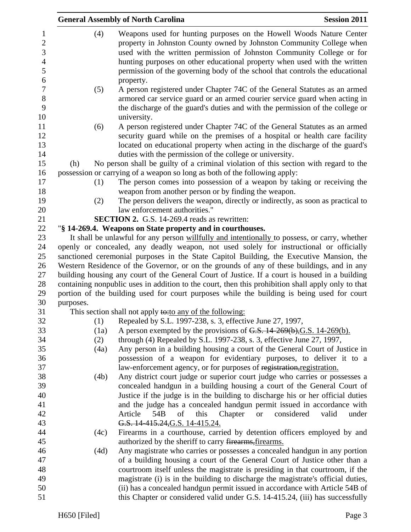|           | <b>Session 2011</b><br><b>General Assembly of North Carolina</b>                                                                                                                                                                                                                                                                                                                               |       |
|-----------|------------------------------------------------------------------------------------------------------------------------------------------------------------------------------------------------------------------------------------------------------------------------------------------------------------------------------------------------------------------------------------------------|-------|
| (4)       | Weapons used for hunting purposes on the Howell Woods Nature Center<br>property in Johnston County owned by Johnston Community College when<br>used with the written permission of Johnston Community College or for<br>hunting purposes on other educational property when used with the written<br>permission of the governing body of the school that controls the educational<br>property. |       |
| (5)       | A person registered under Chapter 74C of the General Statutes as an armed<br>armored car service guard or an armed courier service guard when acting in<br>the discharge of the guard's duties and with the permission of the college or<br>university.                                                                                                                                        |       |
| (6)       | A person registered under Chapter 74C of the General Statutes as an armed<br>security guard while on the premises of a hospital or health care facility<br>located on educational property when acting in the discharge of the guard's<br>duties with the permission of the college or university.                                                                                             |       |
| (h)       | No person shall be guilty of a criminal violation of this section with regard to the                                                                                                                                                                                                                                                                                                           |       |
|           | possession or carrying of a weapon so long as both of the following apply:                                                                                                                                                                                                                                                                                                                     |       |
| (1)       | The person comes into possession of a weapon by taking or receiving the<br>weapon from another person or by finding the weapon.                                                                                                                                                                                                                                                                |       |
| (2)       | The person delivers the weapon, directly or indirectly, as soon as practical to<br>law enforcement authorities."                                                                                                                                                                                                                                                                               |       |
|           | <b>SECTION 2.</b> G.S. 14-269.4 reads as rewritten:                                                                                                                                                                                                                                                                                                                                            |       |
|           | "\\$14-269.4. Weapons on State property and in courthouses.                                                                                                                                                                                                                                                                                                                                    |       |
|           | It shall be unlawful for any person willfully and intentionally to possess, or carry, whether                                                                                                                                                                                                                                                                                                  |       |
|           | openly or concealed, any deadly weapon, not used solely for instructional or officially                                                                                                                                                                                                                                                                                                        |       |
|           | sanctioned ceremonial purposes in the State Capitol Building, the Executive Mansion, the                                                                                                                                                                                                                                                                                                       |       |
|           | Western Residence of the Governor, or on the grounds of any of these buildings, and in any                                                                                                                                                                                                                                                                                                     |       |
|           | building housing any court of the General Court of Justice. If a court is housed in a building                                                                                                                                                                                                                                                                                                 |       |
|           | containing nonpublic uses in addition to the court, then this prohibition shall apply only to that                                                                                                                                                                                                                                                                                             |       |
|           | portion of the building used for court purposes while the building is being used for court                                                                                                                                                                                                                                                                                                     |       |
| purposes. |                                                                                                                                                                                                                                                                                                                                                                                                |       |
|           | This section shall not apply to: to any of the following:                                                                                                                                                                                                                                                                                                                                      |       |
| (1)       | Repealed by S.L. 1997-238, s. 3, effective June 27, 1997,                                                                                                                                                                                                                                                                                                                                      |       |
| (1a)      | A person exempted by the provisions of G.S. 14-269(b), G.S. 14-269(b).                                                                                                                                                                                                                                                                                                                         |       |
| (2)       | through (4) Repealed by S.L. 1997-238, s. 3, effective June 27, 1997,                                                                                                                                                                                                                                                                                                                          |       |
| (4a)      | Any person in a building housing a court of the General Court of Justice in                                                                                                                                                                                                                                                                                                                    |       |
|           | possession of a weapon for evidentiary purposes, to deliver it to a                                                                                                                                                                                                                                                                                                                            |       |
|           | law-enforcement agency, or for purposes of registration, registration.                                                                                                                                                                                                                                                                                                                         |       |
| (4b)      | Any district court judge or superior court judge who carries or possesses a                                                                                                                                                                                                                                                                                                                    |       |
|           | concealed handgun in a building housing a court of the General Court of                                                                                                                                                                                                                                                                                                                        |       |
|           | Justice if the judge is in the building to discharge his or her official duties                                                                                                                                                                                                                                                                                                                |       |
|           | and the judge has a concealed handgun permit issued in accordance with<br>54B<br>of<br>valid                                                                                                                                                                                                                                                                                                   | under |
|           | this<br>Chapter<br>considered<br>Article<br><b>or</b><br>G.S. 14-415.24, G.S. 14-415.24.                                                                                                                                                                                                                                                                                                       |       |
|           | Firearms in a courthouse, carried by detention officers employed by and                                                                                                                                                                                                                                                                                                                        |       |
| (4c)      | authorized by the sheriff to carry firearms, firearms.                                                                                                                                                                                                                                                                                                                                         |       |
| (4d)      | Any magistrate who carries or possesses a concealed handgun in any portion                                                                                                                                                                                                                                                                                                                     |       |
|           | of a building housing a court of the General Court of Justice other than a                                                                                                                                                                                                                                                                                                                     |       |
|           | courtroom itself unless the magistrate is presiding in that courtroom, if the                                                                                                                                                                                                                                                                                                                  |       |
|           | magistrate (i) is in the building to discharge the magistrate's official duties,                                                                                                                                                                                                                                                                                                               |       |
|           | (ii) has a concealed handgun permit issued in accordance with Article 54B of                                                                                                                                                                                                                                                                                                                   |       |
|           | this Chapter or considered valid under G.S. 14-415.24, (iii) has successfully                                                                                                                                                                                                                                                                                                                  |       |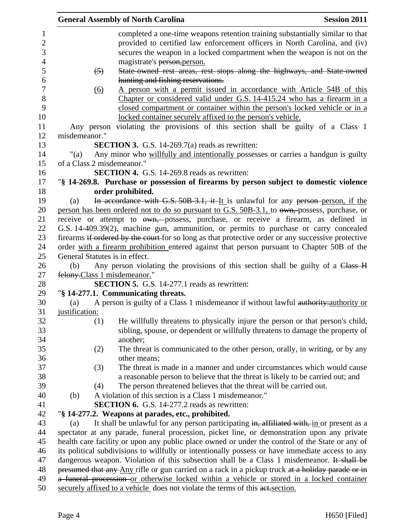| <b>General Assembly of North Carolina</b><br><b>Session 2011</b>                                   |
|----------------------------------------------------------------------------------------------------|
| completed a one-time weapons retention training substantially similar to that                      |
| provided to certified law enforcement officers in North Carolina, and (iv)                         |
| secures the weapon in a locked compartment when the weapon is not on the                           |
| magistrate's person, person.                                                                       |
| State-owned rest areas, rest stops along the highways, and State-owned<br>$\left(5\right)$         |
| hunting and fishing reservations.                                                                  |
| A person with a permit issued in accordance with Article 54B of this<br>(6)                        |
| Chapter or considered valid under G.S. 14-415.24 who has a firearm in a                            |
| closed compartment or container within the person's locked vehicle or in a                         |
| locked container securely affixed to the person's vehicle.                                         |
| Any person violating the provisions of this section shall be guilty of a Class 1                   |
| misdemeanor."                                                                                      |
| <b>SECTION 3.</b> G.S. 14-269.7(a) reads as rewritten:                                             |
| Any minor who willfully and intentionally possesses or carries a handgun is guilty<br>"(a)         |
| of a Class 2 misdemeanor."                                                                         |
| <b>SECTION 4.</b> G.S. 14-269.8 reads as rewritten:                                                |
| "§ 14-269.8. Purchase or possession of firearms by person subject to domestic violence             |
|                                                                                                    |
| order prohibited.                                                                                  |
| In accordance with G.S. 50B-3.1, it It is unlawful for any person-person, if the<br>(a)            |
| person has been ordered not to do so pursuant to G.S. 50B-3.1, to own, possess, purchase, or       |
| receive or attempt to <del>own, possess</del> , purchase, or receive a firearm, as defined in      |
| G.S. 14-409.39(2), machine gun, ammunition, or permits to purchase or carry concealed              |
| firearms if ordered by the court for so long as that protective order or any successive protective |
| order with a firearm prohibition entered against that person pursuant to Chapter 50B of the        |
| General Statutes is in effect.                                                                     |
| Any person violating the provisions of this section shall be guilty of a Class H<br>(b)            |
| felony. Class 1 misdemeanor."                                                                      |
| <b>SECTION 5.</b> G.S. 14-277.1 reads as rewritten:                                                |
| "§ 14-277.1. Communicating threats.                                                                |
| A person is guilty of a Class 1 misdemeanor if without lawful authority-authority or<br>(a)        |
| justification:                                                                                     |
| (1)<br>He willfully threatens to physically injure the person or that person's child,              |
| sibling, spouse, or dependent or willfully threatens to damage the property of                     |
| another;                                                                                           |
| The threat is communicated to the other person, orally, in writing, or by any<br>(2)               |
| other means;                                                                                       |
| The threat is made in a manner and under circumstances which would cause<br>(3)                    |
| a reasonable person to believe that the threat is likely to be carried out; and                    |
| The person threatened believes that the threat will be carried out.<br>(4)                         |
| A violation of this section is a Class 1 misdemeanor."<br>(b)                                      |
| <b>SECTION 6.</b> G.S. 14-277.2 reads as rewritten:                                                |
| "§ 14-277.2. Weapons at parades, etc., prohibited.                                                 |
| It shall be unlawful for any person participating in, affiliated with, in or present as a<br>(a)   |
| spectator at any parade, funeral procession, picket line, or demonstration upon any private        |
| health care facility or upon any public place owned or under the control of the State or any of    |
| its political subdivisions to willfully or intentionally possess or have immediate access to any   |
| dangerous weapon. Violation of this subsection shall be a Class 1 misdemeanor. It shall be         |
| presumed that any Any rifle or gun carried on a rack in a pickup truck at a holiday parade or in   |
| a funeral procession or otherwise locked within a vehicle or stored in a locked container          |
| securely affixed to a vehicle does not violate the terms of this act.section.                      |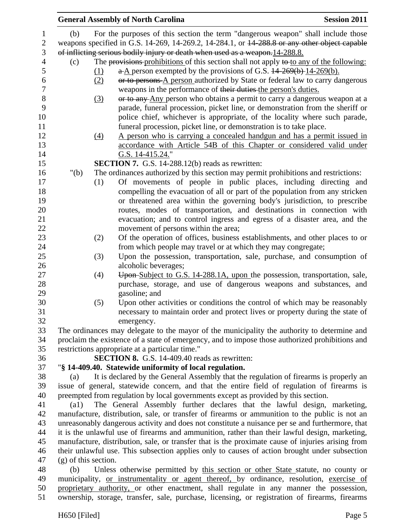|                  |                        |     | <b>Session 2011</b><br><b>General Assembly of North Carolina</b>                                  |  |
|------------------|------------------------|-----|---------------------------------------------------------------------------------------------------|--|
| 1                | (b)                    |     | For the purposes of this section the term "dangerous weapon" shall include those                  |  |
| $\sqrt{2}$       |                        |     | weapons specified in G.S. 14-269, 14-269.2, 14-284.1, or 44-288.8 or any other object capable     |  |
| 3                |                        |     | of inflicting serious bodily injury or death when used as a weapon.14-288.8.                      |  |
| $\overline{4}$   | (c)                    |     | The provisions prohibitions of this section shall not apply to to any of the following:           |  |
| 5                |                        | (1) | $\frac{a}{A}$ person exempted by the provisions of G.S. $\frac{14-269(b)}{14-269(b)}$ .           |  |
| 6                |                        | (2) | or to persons A person authorized by State or federal law to carry dangerous                      |  |
| $\boldsymbol{7}$ |                        |     | weapons in the performance of their duties the person's duties.                                   |  |
| $8\,$            |                        | (3) | or to any Any person who obtains a permit to carry a dangerous weapon at a                        |  |
| 9                |                        |     | parade, funeral procession, picket line, or demonstration from the sheriff or                     |  |
| 10               |                        |     | police chief, whichever is appropriate, of the locality where such parade,                        |  |
|                  |                        |     | funeral procession, picket line, or demonstration is to take place.                               |  |
| 12               |                        | (4) | A person who is carrying a concealed handgun and has a permit issued in                           |  |
| 13               |                        |     | accordance with Article 54B of this Chapter or considered valid under                             |  |
| 14               |                        |     | G.S. 14-415.24."                                                                                  |  |
| 15               |                        |     | <b>SECTION 7.</b> G.S. 14-288.12(b) reads as rewritten:                                           |  |
| 16               | " $(b)$                |     | The ordinances authorized by this section may permit prohibitions and restrictions:               |  |
|                  |                        | (1) | Of movements of people in public places, including directing and                                  |  |
| 18               |                        |     | compelling the evacuation of all or part of the population from any stricken                      |  |
|                  |                        |     | or threatened area within the governing body's jurisdiction, to prescribe                         |  |
| 20               |                        |     | routes, modes of transportation, and destinations in connection with                              |  |
|                  |                        |     | evacuation; and to control ingress and egress of a disaster area, and the                         |  |
|                  |                        |     | movement of persons within the area;                                                              |  |
|                  |                        | (2) | Of the operation of offices, business establishments, and other places to or                      |  |
|                  |                        |     | from which people may travel or at which they may congregate;                                     |  |
|                  |                        | (3) | Upon the possession, transportation, sale, purchase, and consumption of                           |  |
|                  |                        |     | alcoholic beverages;                                                                              |  |
|                  |                        | (4) | Upon-Subject to G.S. 14-288.1A, upon the possession, transportation, sale,                        |  |
| 28               |                        |     | purchase, storage, and use of dangerous weapons and substances, and                               |  |
|                  |                        |     | gasoline; and                                                                                     |  |
|                  |                        | (5) | Upon other activities or conditions the control of which may be reasonably                        |  |
|                  |                        |     | necessary to maintain order and protect lives or property during the state of                     |  |
|                  |                        |     | emergency.                                                                                        |  |
|                  |                        |     | The ordinances may delegate to the mayor of the municipality the authority to determine and       |  |
|                  |                        |     | proclaim the existence of a state of emergency, and to impose those authorized prohibitions and   |  |
|                  |                        |     | restrictions appropriate at a particular time."                                                   |  |
|                  |                        |     | <b>SECTION 8.</b> G.S. 14-409.40 reads as rewritten:                                              |  |
|                  |                        |     | "§ 14-409.40. Statewide uniformity of local regulation.                                           |  |
|                  | (a)                    |     | It is declared by the General Assembly that the regulation of firearms is properly an             |  |
|                  |                        |     | issue of general, statewide concern, and that the entire field of regulation of firearms is       |  |
|                  |                        |     | preempted from regulation by local governments except as provided by this section.                |  |
|                  | $\left( a1\right)$     |     | The General Assembly further declares that the lawful design, marketing,                          |  |
|                  |                        |     | manufacture, distribution, sale, or transfer of firearms or ammunition to the public is not an    |  |
|                  |                        |     | unreasonably dangerous activity and does not constitute a nuisance per se and furthermore, that   |  |
|                  |                        |     | it is the unlawful use of firearms and ammunition, rather than their lawful design, marketing,    |  |
|                  |                        |     | manufacture, distribution, sale, or transfer that is the proximate cause of injuries arising from |  |
|                  |                        |     | their unlawful use. This subsection applies only to causes of action brought under subsection     |  |
|                  | $(g)$ of this section. |     |                                                                                                   |  |
|                  | (b)                    |     | Unless otherwise permitted by this section or other State statute, no county or                   |  |
|                  |                        |     | municipality, or instrumentality or agent thereof, by ordinance, resolution, exercise of          |  |
|                  |                        |     | proprietary authority, or other enactment, shall regulate in any manner the possession,           |  |
| 51               |                        |     | ownership, storage, transfer, sale, purchase, licensing, or registration of firearms, firearms    |  |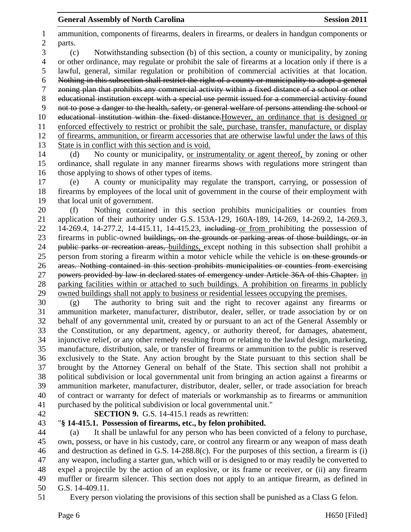ammunition, components of firearms, dealers in firearms, or dealers in handgun components or parts. (c) Notwithstanding subsection (b) of this section, a county or municipality, by zoning or other ordinance, may regulate or prohibit the sale of firearms at a location only if there is a lawful, general, similar regulation or prohibition of commercial activities at that location. Nothing in this subsection shall restrict the right of a county or municipality to adopt a general zoning plan that prohibits any commercial activity within a fixed distance of a school or other educational institution except with a special use permit issued for a commercial activity found not to pose a danger to the health, safety, or general welfare of persons attending the school or educational institution within the fixed distance.However, an ordinance that is designed or enforced effectively to restrict or prohibit the sale, purchase, transfer, manufacture, or display of firearms, ammunition, or firearm accessories that are otherwise lawful under the laws of this State is in conflict with this section and is void.

14 (d) No county or municipality, <u>or instrumentality or agent thereof</u>, by zoning or other ordinance, shall regulate in any manner firearms shows with regulations more stringent than those applying to shows of other types of items.

 (e) A county or municipality may regulate the transport, carrying, or possession of firearms by employees of the local unit of government in the course of their employment with that local unit of government.

- (f) Nothing contained in this section prohibits municipalities or counties from application of their authority under G.S. 153A-129, 160A-189, 14-269, 14-269.2, 14-269.3, 22 14-269.4, 14-277.2, 14-415.11, 14-415.23, including or from prohibiting the possession of firearms in public-owned buildings, on the grounds or parking areas of those buildings, or in public parks or recreation areas, buildings, except nothing in this subsection shall prohibit a 25 person from storing a firearm within a motor vehicle while the vehicle is on these grounds or areas. Nothing contained in this section prohibits municipalities or counties from exercising powers provided by law in declared states of emergency under Article 36A of this Chapter. in parking facilities within or attached to such buildings. A prohibition on firearms in publicly owned buildings shall not apply to business or residential lessees occupying the premises.
- (g) The authority to bring suit and the right to recover against any firearms or ammunition marketer, manufacturer, distributor, dealer, seller, or trade association by or on behalf of any governmental unit, created by or pursuant to an act of the General Assembly or the Constitution, or any department, agency, or authority thereof, for damages, abatement, injunctive relief, or any other remedy resulting from or relating to the lawful design, marketing, manufacture, distribution, sale, or transfer of firearms or ammunition to the public is reserved exclusively to the State. Any action brought by the State pursuant to this section shall be brought by the Attorney General on behalf of the State. This section shall not prohibit a political subdivision or local governmental unit from bringing an action against a firearms or ammunition marketer, manufacturer, distributor, dealer, seller, or trade association for breach of contract or warranty for defect of materials or workmanship as to firearms or ammunition purchased by the political subdivision or local governmental unit."
- 
- **SECTION 9.** G.S. 14-415.1 reads as rewritten:

## "**§ 14-415.1. Possession of firearms, etc., by felon prohibited.**

 (a) It shall be unlawful for any person who has been convicted of a felony to purchase, own, possess, or have in his custody, care, or control any firearm or any weapon of mass death and destruction as defined in G.S. 14-288.8(c). For the purposes of this section, a firearm is (i) any weapon, including a starter gun, which will or is designed to or may readily be converted to expel a projectile by the action of an explosive, or its frame or receiver, or (ii) any firearm muffler or firearm silencer. This section does not apply to an antique firearm, as defined in G.S. 14-409.11.

Every person violating the provisions of this section shall be punished as a Class G felon.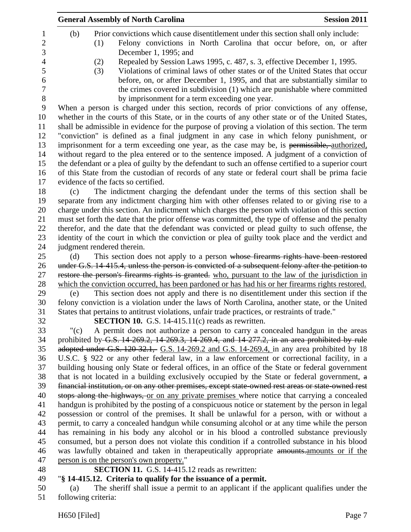|      | <b>General Assembly of North Carolina</b>                                                                                                                                                                                                                                                                                                                                                | <b>Session 2011</b> |
|------|------------------------------------------------------------------------------------------------------------------------------------------------------------------------------------------------------------------------------------------------------------------------------------------------------------------------------------------------------------------------------------------|---------------------|
| (b)  | Prior convictions which cause disentitlement under this section shall only include:<br>Felony convictions in North Carolina that occur before, on, or after<br>(1)<br>December 1, 1995; and                                                                                                                                                                                              |                     |
|      | (2)<br>Repealed by Session Laws 1995, c. 487, s. 3, effective December 1, 1995.<br>Violations of criminal laws of other states or of the United States that occur<br>(3)<br>before, on, or after December 1, 1995, and that are substantially similar to<br>the crimes covered in subdivision (1) which are punishable where committed<br>by imprisonment for a term exceeding one year. |                     |
|      | When a person is charged under this section, records of prior convictions of any offense,                                                                                                                                                                                                                                                                                                |                     |
|      | whether in the courts of this State, or in the courts of any other state or of the United States,                                                                                                                                                                                                                                                                                        |                     |
|      | shall be admissible in evidence for the purpose of proving a violation of this section. The term                                                                                                                                                                                                                                                                                         |                     |
|      | "conviction" is defined as a final judgment in any case in which felony punishment, or                                                                                                                                                                                                                                                                                                   |                     |
|      | imprisonment for a term exceeding one year, as the case may be, is permissible, authorized,                                                                                                                                                                                                                                                                                              |                     |
|      | without regard to the plea entered or to the sentence imposed. A judgment of a conviction of                                                                                                                                                                                                                                                                                             |                     |
|      | the defendant or a plea of guilty by the defendant to such an offense certified to a superior court                                                                                                                                                                                                                                                                                      |                     |
|      | of this State from the custodian of records of any state or federal court shall be prima facie                                                                                                                                                                                                                                                                                           |                     |
|      | evidence of the facts so certified.                                                                                                                                                                                                                                                                                                                                                      |                     |
| (c)  | The indictment charging the defendant under the terms of this section shall be                                                                                                                                                                                                                                                                                                           |                     |
|      | separate from any indictment charging him with other offenses related to or giving rise to a                                                                                                                                                                                                                                                                                             |                     |
|      | charge under this section. An indictment which charges the person with violation of this section                                                                                                                                                                                                                                                                                         |                     |
|      | must set forth the date that the prior offense was committed, the type of offense and the penalty                                                                                                                                                                                                                                                                                        |                     |
|      | therefor, and the date that the defendant was convicted or plead guilty to such offense, the                                                                                                                                                                                                                                                                                             |                     |
|      | identity of the court in which the conviction or plea of guilty took place and the verdict and                                                                                                                                                                                                                                                                                           |                     |
|      | judgment rendered therein.                                                                                                                                                                                                                                                                                                                                                               |                     |
| (d)  | This section does not apply to a person whose firearms rights have been restored<br>under G.S. 14-415.4, unless the person is convicted of a subsequent felony after the petition to                                                                                                                                                                                                     |                     |
|      | restore the person's firearms rights is granted. who, pursuant to the law of the jurisdiction in                                                                                                                                                                                                                                                                                         |                     |
|      | which the conviction occurred, has been pardoned or has had his or her firearms rights restored.                                                                                                                                                                                                                                                                                         |                     |
| (e)  | This section does not apply and there is no disentitlement under this section if the                                                                                                                                                                                                                                                                                                     |                     |
|      | felony conviction is a violation under the laws of North Carolina, another state, or the United                                                                                                                                                                                                                                                                                          |                     |
|      | States that pertains to antitrust violations, unfair trade practices, or restraints of trade."                                                                                                                                                                                                                                                                                           |                     |
|      | <b>SECTION 10.</b> G.S. 14-415.11 $(c)$ reads as rewritten.                                                                                                                                                                                                                                                                                                                              |                     |
| "(c) | A permit does not authorize a person to carry a concealed handgun in the areas                                                                                                                                                                                                                                                                                                           |                     |
|      | prohibited by G.S. 14-269.2, 14-269.3, 14-269.4, and 14-277.2, in an area prohibited by rule                                                                                                                                                                                                                                                                                             |                     |
|      | adopted under G.S. 120-32.1, G.S. 14-269.2 and G.S. 14-269.4, in any area prohibited by 18                                                                                                                                                                                                                                                                                               |                     |
|      | U.S.C. § 922 or any other federal law, in a law enforcement or correctional facility, in a                                                                                                                                                                                                                                                                                               |                     |
|      | building housing only State or federal offices, in an office of the State or federal government                                                                                                                                                                                                                                                                                          |                     |
|      | that is not located in a building exclusively occupied by the State or federal government, a                                                                                                                                                                                                                                                                                             |                     |
|      | financial institution, or on any other premises, except state-owned rest areas or state-owned rest                                                                                                                                                                                                                                                                                       |                     |
|      | stops along the highways, or on any private premises where notice that carrying a concealed                                                                                                                                                                                                                                                                                              |                     |
|      | handgun is prohibited by the posting of a conspicuous notice or statement by the person in legal                                                                                                                                                                                                                                                                                         |                     |
|      | possession or control of the premises. It shall be unlawful for a person, with or without a                                                                                                                                                                                                                                                                                              |                     |
|      | permit, to carry a concealed handgun while consuming alcohol or at any time while the person                                                                                                                                                                                                                                                                                             |                     |
|      | has remaining in his body any alcohol or in his blood a controlled substance previously<br>consumed, but a person does not violate this condition if a controlled substance in his blood                                                                                                                                                                                                 |                     |
|      | was lawfully obtained and taken in therapeutically appropriate amounts-amounts or if the                                                                                                                                                                                                                                                                                                 |                     |
|      | person is on the person's own property."                                                                                                                                                                                                                                                                                                                                                 |                     |
|      |                                                                                                                                                                                                                                                                                                                                                                                          |                     |

48 **SECTION 11.** G.S. 14-415.12 reads as rewritten:<br>49 <sup>"</sup>§ 14-415.12. Criteria to qualify for the issuance of a perm "**§ 14-415.12. Criteria to qualify for the issuance of a permit.**

 (a) The sheriff shall issue a permit to an applicant if the applicant qualifies under the following criteria: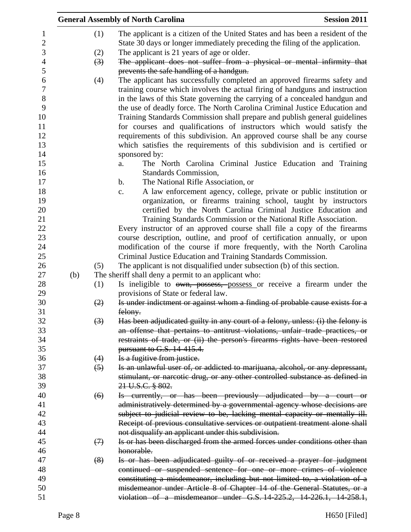|     |                   | <b>General Assembly of North Carolina</b>                                                                                                                                                                                                                                                                                                                                                                                                                                                                                                                                                                                            | <b>Session 2011</b> |
|-----|-------------------|--------------------------------------------------------------------------------------------------------------------------------------------------------------------------------------------------------------------------------------------------------------------------------------------------------------------------------------------------------------------------------------------------------------------------------------------------------------------------------------------------------------------------------------------------------------------------------------------------------------------------------------|---------------------|
|     | (1)               | The applicant is a citizen of the United States and has been a resident of the<br>State 30 days or longer immediately preceding the filing of the application.                                                                                                                                                                                                                                                                                                                                                                                                                                                                       |                     |
|     | (2)               | The applicant is 21 years of age or older.                                                                                                                                                                                                                                                                                                                                                                                                                                                                                                                                                                                           |                     |
|     | $\left(3\right)$  | The applicant does not suffer from a physical or mental infirmity that                                                                                                                                                                                                                                                                                                                                                                                                                                                                                                                                                               |                     |
|     |                   | prevents the safe handling of a handgun.                                                                                                                                                                                                                                                                                                                                                                                                                                                                                                                                                                                             |                     |
|     | (4)               | The applicant has successfully completed an approved firearms safety and<br>training course which involves the actual firing of handguns and instruction<br>in the laws of this State governing the carrying of a concealed handgun and<br>the use of deadly force. The North Carolina Criminal Justice Education and<br>Training Standards Commission shall prepare and publish general guidelines<br>for courses and qualifications of instructors which would satisfy the<br>requirements of this subdivision. An approved course shall be any course<br>which satisfies the requirements of this subdivision and is certified or |                     |
|     |                   | sponsored by:                                                                                                                                                                                                                                                                                                                                                                                                                                                                                                                                                                                                                        |                     |
|     |                   | The North Carolina Criminal Justice Education and Training<br>a.                                                                                                                                                                                                                                                                                                                                                                                                                                                                                                                                                                     |                     |
|     |                   | Standards Commission,                                                                                                                                                                                                                                                                                                                                                                                                                                                                                                                                                                                                                |                     |
|     |                   | The National Rifle Association, or<br>$\mathbf b$ .                                                                                                                                                                                                                                                                                                                                                                                                                                                                                                                                                                                  |                     |
|     |                   | A law enforcement agency, college, private or public institution or<br>$\mathbf{c}$ .                                                                                                                                                                                                                                                                                                                                                                                                                                                                                                                                                |                     |
|     |                   | organization, or firearms training school, taught by instructors<br>certified by the North Carolina Criminal Justice Education and                                                                                                                                                                                                                                                                                                                                                                                                                                                                                                   |                     |
|     |                   | Training Standards Commission or the National Rifle Association.                                                                                                                                                                                                                                                                                                                                                                                                                                                                                                                                                                     |                     |
|     |                   | Every instructor of an approved course shall file a copy of the firearms                                                                                                                                                                                                                                                                                                                                                                                                                                                                                                                                                             |                     |
|     |                   | course description, outline, and proof of certification annually, or upon                                                                                                                                                                                                                                                                                                                                                                                                                                                                                                                                                            |                     |
|     |                   | modification of the course if more frequently, with the North Carolina                                                                                                                                                                                                                                                                                                                                                                                                                                                                                                                                                               |                     |
|     |                   | Criminal Justice Education and Training Standards Commission.                                                                                                                                                                                                                                                                                                                                                                                                                                                                                                                                                                        |                     |
|     | (5)               | The applicant is not disqualified under subsection (b) of this section.                                                                                                                                                                                                                                                                                                                                                                                                                                                                                                                                                              |                     |
| (b) |                   | The sheriff shall deny a permit to an applicant who:                                                                                                                                                                                                                                                                                                                                                                                                                                                                                                                                                                                 |                     |
|     | (1)               | Is ineligible to own, possess, possess or receive a firearm under the                                                                                                                                                                                                                                                                                                                                                                                                                                                                                                                                                                |                     |
|     |                   | provisions of State or federal law.                                                                                                                                                                                                                                                                                                                                                                                                                                                                                                                                                                                                  |                     |
|     | $\left( 2\right)$ | Is under indictment or against whom a finding of probable cause exists for a                                                                                                                                                                                                                                                                                                                                                                                                                                                                                                                                                         |                     |
|     |                   | felony.                                                                                                                                                                                                                                                                                                                                                                                                                                                                                                                                                                                                                              |                     |
|     | (3)               | Has been adjudicated guilty in any court of a felony, unless: (i) the felony is                                                                                                                                                                                                                                                                                                                                                                                                                                                                                                                                                      |                     |
|     |                   | an offense that pertains to antitrust violations, unfair trade practices, or                                                                                                                                                                                                                                                                                                                                                                                                                                                                                                                                                         |                     |
|     |                   | restraints of trade, or (ii) the person's firearms rights have been restored                                                                                                                                                                                                                                                                                                                                                                                                                                                                                                                                                         |                     |
|     |                   | pursuant to G.S. 14-415.4.                                                                                                                                                                                                                                                                                                                                                                                                                                                                                                                                                                                                           |                     |
|     | (4)               | Is a fugitive from justice.                                                                                                                                                                                                                                                                                                                                                                                                                                                                                                                                                                                                          |                     |
|     | (5)               | Is an unlawful user of, or addicted to marijuana, alcohol, or any depressant,                                                                                                                                                                                                                                                                                                                                                                                                                                                                                                                                                        |                     |
|     |                   | stimulant, or narcotic drug, or any other controlled substance as defined in<br>21 U.S.C. § 802.                                                                                                                                                                                                                                                                                                                                                                                                                                                                                                                                     |                     |
|     | (6)               | Is currently, or has been previously adjudicated by a court or                                                                                                                                                                                                                                                                                                                                                                                                                                                                                                                                                                       |                     |
|     |                   | administratively determined by a governmental agency whose decisions are                                                                                                                                                                                                                                                                                                                                                                                                                                                                                                                                                             |                     |
|     |                   | subject to judicial review to be, lacking mental capacity or mentally ill.                                                                                                                                                                                                                                                                                                                                                                                                                                                                                                                                                           |                     |
|     |                   | Receipt of previous consultative services or outpatient treatment alone shall                                                                                                                                                                                                                                                                                                                                                                                                                                                                                                                                                        |                     |
|     |                   | not disqualify an applicant under this subdivision.                                                                                                                                                                                                                                                                                                                                                                                                                                                                                                                                                                                  |                     |
|     | $\leftrightarrow$ | Is or has been discharged from the armed forces under conditions other than                                                                                                                                                                                                                                                                                                                                                                                                                                                                                                                                                          |                     |
|     |                   | honorable.                                                                                                                                                                                                                                                                                                                                                                                                                                                                                                                                                                                                                           |                     |
|     | (8)               | Is or has been adjudicated guilty of or received a prayer for judgment                                                                                                                                                                                                                                                                                                                                                                                                                                                                                                                                                               |                     |
|     |                   | continued or suspended sentence for one or more crimes of violence                                                                                                                                                                                                                                                                                                                                                                                                                                                                                                                                                                   |                     |
|     |                   | constituting a misdemeanor, including but not limited to, a violation of a                                                                                                                                                                                                                                                                                                                                                                                                                                                                                                                                                           |                     |
|     |                   | misdemeanor under Article 8 of Chapter 14 of the General Statutes, or a                                                                                                                                                                                                                                                                                                                                                                                                                                                                                                                                                              |                     |
|     |                   | violation of a misdemeanor under G.S. 14-225.2, 14-226.1, 14-258.1,                                                                                                                                                                                                                                                                                                                                                                                                                                                                                                                                                                  |                     |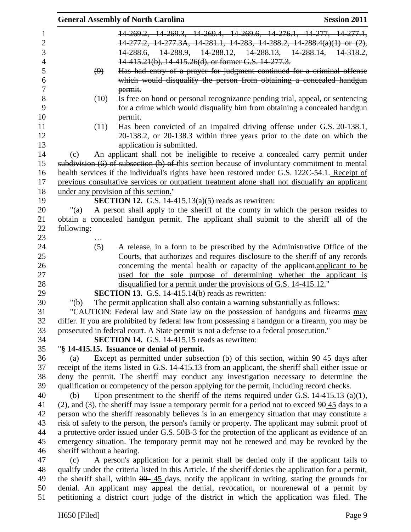|                |                                       | <b>General Assembly of North Carolina</b>                   | <b>Session 2011</b>                                                                                           |
|----------------|---------------------------------------|-------------------------------------------------------------|---------------------------------------------------------------------------------------------------------------|
| $\mathbf{1}$   |                                       |                                                             | 14-269.2, 14-269.3, 14-269.4, 14-269.6, 14-276.1, 14-277, 14-277.1,                                           |
| $\sqrt{2}$     |                                       |                                                             | 14-277.2, 14-277.3A, 14-281.1, 14-283, 14-288.2, 14-288.4(a)(1) or (2),                                       |
| 3              |                                       |                                                             | 14-288.6, 14-288.9, 14-288.12, 14-288.13, 14-288.14, 14-318.2,                                                |
| $\overline{4}$ |                                       | 14-415.21(b), 14-415.26(d), or former G.S. 14-277.3.        |                                                                                                               |
| 5              | $\left( \Theta \right)$               |                                                             | Has had entry of a prayer for judgment continued for a criminal offense                                       |
| 6              |                                       |                                                             | which would disqualify the person from obtaining a concealed handgun                                          |
| 7              |                                       | permit.                                                     |                                                                                                               |
| 8              | (10)                                  |                                                             | Is free on bond or personal recognizance pending trial, appeal, or sentencing                                 |
| 9              |                                       |                                                             | for a crime which would disqualify him from obtaining a concealed handgun                                     |
| 10             |                                       | permit.                                                     |                                                                                                               |
| 11             | (11)                                  |                                                             | Has been convicted of an impaired driving offense under G.S. 20-138.1,                                        |
| 12             |                                       |                                                             | 20-138.2, or 20-138.3 within three years prior to the date on which the                                       |
| 13             |                                       | application is submitted.                                   |                                                                                                               |
| 14             | (c)                                   |                                                             | An applicant shall not be ineligible to receive a concealed carry permit under                                |
| 15             |                                       |                                                             | subdivision (6) of subsection (b) of this section because of involuntary commitment to mental                 |
| 16             |                                       |                                                             | health services if the individual's rights have been restored under G.S. 122C-54.1. Receipt of                |
| 17             |                                       |                                                             | previous consultative services or outpatient treatment alone shall not disqualify an applicant                |
| 18             | under any provision of this section." |                                                             |                                                                                                               |
| 19             |                                       | <b>SECTION 12.</b> G.S. 14-415.13(a)(5) reads as rewritten: |                                                                                                               |
| 20             | "(a)                                  |                                                             | A person shall apply to the sheriff of the county in which the person resides to                              |
| 21             |                                       |                                                             | obtain a concealed handgun permit. The applicant shall submit to the sheriff all of the                       |
| 22             | following:                            |                                                             |                                                                                                               |
| 23             |                                       |                                                             |                                                                                                               |
| 24             | (5)                                   |                                                             | A release, in a form to be prescribed by the Administrative Office of the                                     |
| 25             |                                       |                                                             | Courts, that authorizes and requires disclosure to the sheriff of any records                                 |
| 26             |                                       |                                                             | concerning the mental health or capacity of the applicant.applicant to be                                     |
| 27             |                                       |                                                             | used for the sole purpose of determining whether the applicant is                                             |
| 28             |                                       |                                                             | disqualified for a permit under the provisions of G.S. 14-415.12."                                            |
| 29             |                                       | <b>SECTION 13.</b> G.S. 14-415.14(b) reads as rewritten:    |                                                                                                               |
| 30             | " $(b)$                               |                                                             | The permit application shall also contain a warning substantially as follows:                                 |
| 31             |                                       |                                                             | "CAUTION: Federal law and State law on the possession of handguns and firearms may                            |
| 32             |                                       |                                                             | differ. If you are prohibited by federal law from possessing a handgun or a firearm, you may be               |
| 33             |                                       |                                                             | prosecuted in federal court. A State permit is not a defense to a federal prosecution."                       |
| 34             |                                       | <b>SECTION 14.</b> G.S. 14-415.15 reads as rewritten:       |                                                                                                               |
| 35             |                                       | "§ 14-415.15. Issuance or denial of permit.                 |                                                                                                               |
| 36             | (a)                                   |                                                             | Except as permitted under subsection (b) of this section, within $90-45$ days after                           |
| 37             |                                       |                                                             | receipt of the items listed in G.S. 14-415.13 from an applicant, the sheriff shall either issue or            |
| 38             |                                       |                                                             | deny the permit. The sheriff may conduct any investigation necessary to determine the                         |
| 39             |                                       |                                                             | qualification or competency of the person applying for the permit, including record checks.                   |
| 40             | (b)                                   |                                                             | Upon presentment to the sheriff of the items required under G.S. $14-415.13$ (a)(1),                          |
| 41             |                                       |                                                             | (2), and (3), the sheriff may issue a temporary permit for a period not to exceed $90\overline{45}$ days to a |
| 42             |                                       |                                                             | person who the sheriff reasonably believes is in an emergency situation that may constitute a                 |
| 43             |                                       |                                                             | risk of safety to the person, the person's family or property. The applicant may submit proof of              |
| 44             |                                       |                                                             | a protective order issued under G.S. 50B-3 for the protection of the applicant as evidence of an              |
| 45             |                                       |                                                             | emergency situation. The temporary permit may not be renewed and may be revoked by the                        |
| 46             | sheriff without a hearing.            |                                                             |                                                                                                               |
| 47             | (c)                                   |                                                             | A person's application for a permit shall be denied only if the applicant fails to                            |
| 48             |                                       |                                                             | qualify under the criteria listed in this Article. If the sheriff denies the application for a permit,        |
| 49             |                                       |                                                             | the sheriff shall, within $90-45$ days, notify the applicant in writing, stating the grounds for              |
| 50             |                                       |                                                             | denial. An applicant may appeal the denial, revocation, or nonrenewal of a permit by                          |
| 51             |                                       |                                                             | petitioning a district court judge of the district in which the application was filed. The                    |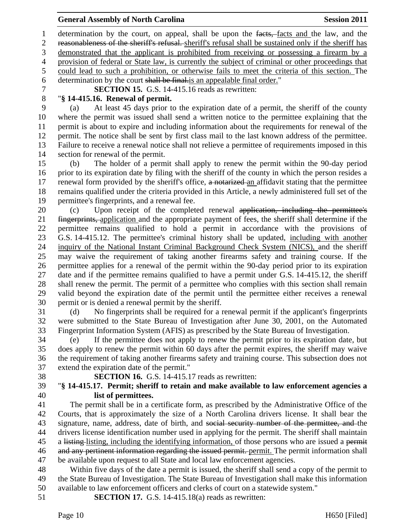## **General Assembly of North Carolina Session 2011**

 determination by the court, on appeal, shall be upon the facts, facts and the law, and the reasonableness of the sheriff's refusal. sheriff's refusal shall be sustained only if the sheriff has demonstrated that the applicant is prohibited from receiving or possessing a firearm by a provision of federal or State law, is currently the subject of criminal or other proceedings that could lead to such a prohibition, or otherwise fails to meet the criteria of this section. The determination by the court shall be final.is an appealable final order."

**SECTION 15.** G.S. 14-415.16 reads as rewritten:

# "**§ 14-415.16. Renewal of permit.**

 (a) At least 45 days prior to the expiration date of a permit, the sheriff of the county where the permit was issued shall send a written notice to the permittee explaining that the permit is about to expire and including information about the requirements for renewal of the permit. The notice shall be sent by first class mail to the last known address of the permittee. Failure to receive a renewal notice shall not relieve a permittee of requirements imposed in this section for renewal of the permit.

 (b) The holder of a permit shall apply to renew the permit within the 90-day period prior to its expiration date by filing with the sheriff of the county in which the person resides a 17 renewal form provided by the sheriff's office, a notarized an affidavit stating that the permittee remains qualified under the criteria provided in this Article, a newly administered full set of the permittee's fingerprints, and a renewal fee.

 (c) Upon receipt of the completed renewal application, including the permittee's 21 <del>fingerprints, application and the appropriate payment</del> of fees, the sheriff shall determine if the permittee remains qualified to hold a permit in accordance with the provisions of G.S. 14-415.12. The permittee's criminal history shall be updated, including with another inquiry of the National Instant Criminal Background Check System (NICS), and the sheriff may waive the requirement of taking another firearms safety and training course. If the permittee applies for a renewal of the permit within the 90-day period prior to its expiration date and if the permittee remains qualified to have a permit under G.S. 14-415.12, the sheriff shall renew the permit. The permit of a permittee who complies with this section shall remain valid beyond the expiration date of the permit until the permittee either receives a renewal permit or is denied a renewal permit by the sheriff.

 (d) No fingerprints shall be required for a renewal permit if the applicant's fingerprints were submitted to the State Bureau of Investigation after June 30, 2001, on the Automated Fingerprint Information System (AFIS) as prescribed by the State Bureau of Investigation.

 (e) If the permittee does not apply to renew the permit prior to its expiration date, but does apply to renew the permit within 60 days after the permit expires, the sheriff may waive the requirement of taking another firearms safety and training course. This subsection does not extend the expiration date of the permit."

**SECTION 16.** G.S. 14-415.17 reads as rewritten:

### "**§ 14-415.17. Permit; sheriff to retain and make available to law enforcement agencies a list of permittees.**

 The permit shall be in a certificate form, as prescribed by the Administrative Office of the Courts, that is approximately the size of a North Carolina drivers license. It shall bear the signature, name, address, date of birth, and social security number of the permittee, and the drivers license identification number used in applying for the permit. The sheriff shall maintain 45 a listing listing, including the identifying information, of those persons who are issued a permit 46 and any pertinent information regarding the issued permit. permit. The permit information shall be available upon request to all State and local law enforcement agencies.

 Within five days of the date a permit is issued, the sheriff shall send a copy of the permit to the State Bureau of Investigation. The State Bureau of Investigation shall make this information available to law enforcement officers and clerks of court on a statewide system."

**SECTION 17.** G.S. 14-415.18(a) reads as rewritten: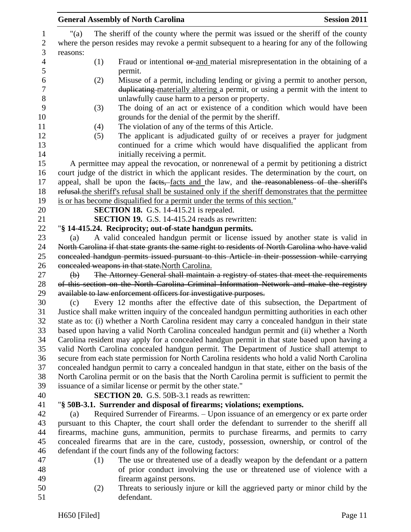|                           |     | <b>General Assembly of North Carolina</b>                                                                                                                                                           | <b>Session 2011</b> |
|---------------------------|-----|-----------------------------------------------------------------------------------------------------------------------------------------------------------------------------------------------------|---------------------|
| " $(a)$                   |     | The sheriff of the county where the permit was issued or the sheriff of the county<br>where the person resides may revoke a permit subsequent to a hearing for any of the following                 |                     |
| reasons:                  |     |                                                                                                                                                                                                     |                     |
|                           | (1) | Fraud or intentional or and material misrepresentation in the obtaining of a<br>permit.                                                                                                             |                     |
|                           | (2) | Misuse of a permit, including lending or giving a permit to another person,<br>duplicating materially altering a permit, or using a permit with the intent to                                       |                     |
|                           |     | unlawfully cause harm to a person or property.                                                                                                                                                      |                     |
|                           | (3) | The doing of an act or existence of a condition which would have been                                                                                                                               |                     |
|                           |     | grounds for the denial of the permit by the sheriff.                                                                                                                                                |                     |
|                           | (4) | The violation of any of the terms of this Article.                                                                                                                                                  |                     |
|                           | (5) | The applicant is adjudicated guilty of or receives a prayer for judgment                                                                                                                            |                     |
|                           |     | continued for a crime which would have disqualified the applicant from                                                                                                                              |                     |
|                           |     | initially receiving a permit.                                                                                                                                                                       |                     |
|                           |     | A permittee may appeal the revocation, or nonrenewal of a permit by petitioning a district                                                                                                          |                     |
|                           |     | court judge of the district in which the applicant resides. The determination by the court, on<br>appeal, shall be upon the facts, facts and the law, and the reasonableness of the sheriff's       |                     |
|                           |     | refusal the sheriff's refusal shall be sustained only if the sheriff demonstrates that the permittee                                                                                                |                     |
|                           |     | is or has become disqualified for a permit under the terms of this section."                                                                                                                        |                     |
|                           |     | <b>SECTION 18.</b> G.S. 14-415.21 is repealed.                                                                                                                                                      |                     |
|                           |     | <b>SECTION 19.</b> G.S. 14-415.24 reads as rewritten:                                                                                                                                               |                     |
|                           |     | "§ 14-415.24. Reciprocity; out-of-state handgun permits.                                                                                                                                            |                     |
| (a)                       |     | A valid concealed handgun permit or license issued by another state is valid in                                                                                                                     |                     |
|                           |     | North Carolina if that state grants the same right to residents of North Carolina who have valid                                                                                                    |                     |
|                           |     | concealed handgun permits issued pursuant to this Article in their possession while carrying                                                                                                        |                     |
|                           |     | concealed weapons in that state. North Carolina.                                                                                                                                                    |                     |
| $\left(\mathbf{b}\right)$ |     | The Attorney General shall maintain a registry of states that meet the requirements                                                                                                                 |                     |
|                           |     | of this section on the North Carolina Criminal Information Network and make the registry                                                                                                            |                     |
|                           |     | available to law enforcement officers for investigative purposes.                                                                                                                                   |                     |
| (c)                       |     | Every 12 months after the effective date of this subsection, the Department of                                                                                                                      |                     |
|                           |     | Justice shall make written inquiry of the concealed handgun permitting authorities in each other<br>state as to: (i) whether a North Carolina resident may carry a concealed handgun in their state |                     |
|                           |     | based upon having a valid North Carolina concealed handgun permit and (ii) whether a North                                                                                                          |                     |
|                           |     | Carolina resident may apply for a concealed handgun permit in that state based upon having a                                                                                                        |                     |
|                           |     | valid North Carolina concealed handgun permit. The Department of Justice shall attempt to                                                                                                           |                     |
|                           |     | secure from each state permission for North Carolina residents who hold a valid North Carolina                                                                                                      |                     |
|                           |     | concealed handgun permit to carry a concealed handgun in that state, either on the basis of the                                                                                                     |                     |
|                           |     | North Carolina permit or on the basis that the North Carolina permit is sufficient to permit the                                                                                                    |                     |
|                           |     | issuance of a similar license or permit by the other state."                                                                                                                                        |                     |
|                           |     | <b>SECTION 20.</b> G.S. 50B-3.1 reads as rewritten:                                                                                                                                                 |                     |
|                           |     | "§ 50B-3.1. Surrender and disposal of firearms; violations; exemptions.                                                                                                                             |                     |
| (a)                       |     | Required Surrender of Firearms. - Upon issuance of an emergency or ex parte order                                                                                                                   |                     |
|                           |     | pursuant to this Chapter, the court shall order the defendant to surrender to the sheriff all                                                                                                       |                     |
|                           |     | firearms, machine guns, ammunition, permits to purchase firearms, and permits to carry                                                                                                              |                     |
|                           |     | concealed firearms that are in the care, custody, possession, ownership, or control of the                                                                                                          |                     |
|                           |     | defendant if the court finds any of the following factors:                                                                                                                                          |                     |
|                           | (1) | The use or threatened use of a deadly weapon by the defendant or a pattern                                                                                                                          |                     |
|                           |     | of prior conduct involving the use or threatened use of violence with a                                                                                                                             |                     |
|                           |     | firearm against persons.                                                                                                                                                                            |                     |
|                           | (2) | Threats to seriously injure or kill the aggrieved party or minor child by the                                                                                                                       |                     |
|                           |     | defendant.                                                                                                                                                                                          |                     |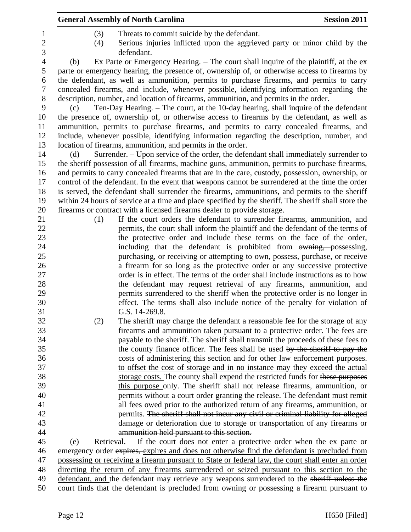|     | <b>General Assembly of North Carolina</b>                                                                                                                                                           | <b>Session 2011</b> |
|-----|-----------------------------------------------------------------------------------------------------------------------------------------------------------------------------------------------------|---------------------|
| (3) | Threats to commit suicide by the defendant.                                                                                                                                                         |                     |
| (4) | Serious injuries inflicted upon the aggrieved party or minor child by the<br>defendant.                                                                                                             |                     |
| (b) | Ex Parte or Emergency Hearing. – The court shall inquire of the plaintiff, at the ex                                                                                                                |                     |
|     | parte or emergency hearing, the presence of, ownership of, or otherwise access to firearms by                                                                                                       |                     |
|     | the defendant, as well as ammunition, permits to purchase firearms, and permits to carry                                                                                                            |                     |
|     | concealed firearms, and include, whenever possible, identifying information regarding the                                                                                                           |                     |
|     | description, number, and location of firearms, ammunition, and permits in the order.                                                                                                                |                     |
| (c) | Ten-Day Hearing. – The court, at the 10-day hearing, shall inquire of the defendant                                                                                                                 |                     |
|     | the presence of, ownership of, or otherwise access to firearms by the defendant, as well as                                                                                                         |                     |
|     | ammunition, permits to purchase firearms, and permits to carry concealed firearms, and                                                                                                              |                     |
|     | include, whenever possible, identifying information regarding the description, number, and                                                                                                          |                     |
|     | location of firearms, ammunition, and permits in the order.                                                                                                                                         |                     |
| (d) | Surrender. – Upon service of the order, the defendant shall immediately surrender to                                                                                                                |                     |
|     | the sheriff possession of all firearms, machine guns, ammunition, permits to purchase firearms,<br>and permits to carry concealed firearms that are in the care, custody, possession, ownership, or |                     |
|     | control of the defendant. In the event that weapons cannot be surrendered at the time the order                                                                                                     |                     |
|     | is served, the defendant shall surrender the firearms, ammunitions, and permits to the sheriff                                                                                                      |                     |
|     | within 24 hours of service at a time and place specified by the sheriff. The sheriff shall store the                                                                                                |                     |
|     | firearms or contract with a licensed firearms dealer to provide storage.                                                                                                                            |                     |
| (1) | If the court orders the defendant to surrender firearms, ammunition, and                                                                                                                            |                     |
|     | permits, the court shall inform the plaintiff and the defendant of the terms of                                                                                                                     |                     |
|     | the protective order and include these terms on the face of the order,                                                                                                                              |                     |
|     | including that the defendant is prohibited from owning, possessing,                                                                                                                                 |                     |
|     | purchasing, or receiving or attempting to own, possess, purchase, or receive                                                                                                                        |                     |
|     | a firearm for so long as the protective order or any successive protective                                                                                                                          |                     |
|     | order is in effect. The terms of the order shall include instructions as to how                                                                                                                     |                     |
|     | the defendant may request retrieval of any firearms, ammunition, and                                                                                                                                |                     |
|     | permits surrendered to the sheriff when the protective order is no longer in                                                                                                                        |                     |
|     | effect. The terms shall also include notice of the penalty for violation of                                                                                                                         |                     |
|     | G.S. 14-269.8.<br>The sheriff may charge the defendant a reasonable fee for the storage of any                                                                                                      |                     |
| (2) | firearms and ammunition taken pursuant to a protective order. The fees are                                                                                                                          |                     |
|     | payable to the sheriff. The sheriff shall transmit the proceeds of these fees to                                                                                                                    |                     |
|     | the county finance officer. The fees shall be used by the sheriff to pay the                                                                                                                        |                     |
|     | costs of administering this section and for other law enforcement purposes.                                                                                                                         |                     |
|     | to offset the cost of storage and in no instance may they exceed the actual                                                                                                                         |                     |
|     | storage costs. The county shall expend the restricted funds for these purposes                                                                                                                      |                     |
|     | this purpose only. The sheriff shall not release firearms, ammunition, or                                                                                                                           |                     |
|     | permits without a court order granting the release. The defendant must remit                                                                                                                        |                     |
|     | all fees owed prior to the authorized return of any firearms, ammunition, or                                                                                                                        |                     |
|     | permits. The sheriff shall not incur any civil or criminal liability for alleged                                                                                                                    |                     |
|     | damage or deterioration due to storage or transportation of any firearms or                                                                                                                         |                     |
|     | ammunition held pursuant to this section.                                                                                                                                                           |                     |
| (e) | Retrieval. – If the court does not enter a protective order when the ex parte or<br>emergency order expires, expires and does not otherwise find the defendant is precluded from                    |                     |
|     | possessing or receiving a firearm pursuant to State or federal law, the court shall enter an order                                                                                                  |                     |
|     | directing the return of any firearms surrendered or seized pursuant to this section to the                                                                                                          |                     |
|     | defendant, and the defendant may retrieve any weapons surrendered to the sheriff unless the                                                                                                         |                     |
|     | court finds that the defendant is precluded from owning or possessing a firearm pursuant to                                                                                                         |                     |
|     |                                                                                                                                                                                                     |                     |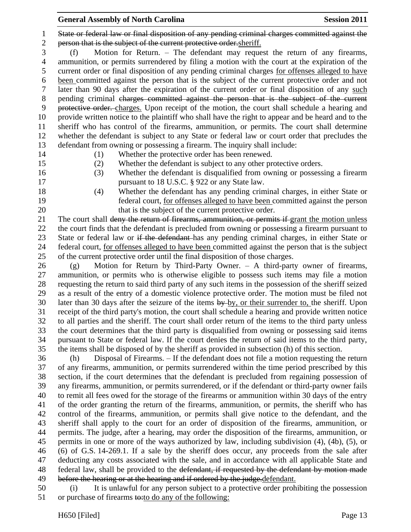State or federal law or final disposition of any pending criminal charges committed against the 2 person that is the subject of the current protective order.sheriff.

 (f) Motion for Return. – The defendant may request the return of any firearms, ammunition, or permits surrendered by filing a motion with the court at the expiration of the current order or final disposition of any pending criminal charges for offenses alleged to have been committed against the person that is the subject of the current protective order and not later than 90 days after the expiration of the current order or final disposition of any such pending criminal charges committed against the person that is the subject of the current protective order. charges. Upon receipt of the motion, the court shall schedule a hearing and provide written notice to the plaintiff who shall have the right to appear and be heard and to the sheriff who has control of the firearms, ammunition, or permits. The court shall determine whether the defendant is subject to any State or federal law or court order that precludes the defendant from owning or possessing a firearm. The inquiry shall include:

(1) Whether the protective order has been renewed.

(2) Whether the defendant is subject to any other protective orders.

 (3) Whether the defendant is disqualified from owning or possessing a firearm **pursuant to 18 U.S.C.** § 922 or any State law.

 (4) Whether the defendant has any pending criminal charges, in either State or federal court, for offenses alleged to have been committed against the person 20 that is the subject of the current protective order.

21 The court shall deny the return of firearms, ammunition, or permits if grant the motion unless the court finds that the defendant is precluded from owning or possessing a firearm pursuant to 23 State or federal law or if the defendant has any pending criminal charges, in either State or federal court, for offenses alleged to have been committed against the person that is the subject of the current protective order until the final disposition of those charges.

 (g) Motion for Return by Third-Party Owner. – A third-party owner of firearms, ammunition, or permits who is otherwise eligible to possess such items may file a motion requesting the return to said third party of any such items in the possession of the sheriff seized as a result of the entry of a domestic violence protective order. The motion must be filed not 30 later than 30 days after the seizure of the items by by, or their surrender to, the sheriff. Upon receipt of the third party's motion, the court shall schedule a hearing and provide written notice to all parties and the sheriff. The court shall order return of the items to the third party unless the court determines that the third party is disqualified from owning or possessing said items pursuant to State or federal law. If the court denies the return of said items to the third party, the items shall be disposed of by the sheriff as provided in subsection (h) of this section.

 (h) Disposal of Firearms. – If the defendant does not file a motion requesting the return of any firearms, ammunition, or permits surrendered within the time period prescribed by this section, if the court determines that the defendant is precluded from regaining possession of any firearms, ammunition, or permits surrendered, or if the defendant or third-party owner fails to remit all fees owed for the storage of the firearms or ammunition within 30 days of the entry of the order granting the return of the firearms, ammunition, or permits, the sheriff who has control of the firearms, ammunition, or permits shall give notice to the defendant, and the sheriff shall apply to the court for an order of disposition of the firearms, ammunition, or permits. The judge, after a hearing, may order the disposition of the firearms, ammunition, or permits in one or more of the ways authorized by law, including subdivision (4), (4b), (5), or (6) of G.S. 14-269.1. If a sale by the sheriff does occur, any proceeds from the sale after deducting any costs associated with the sale, and in accordance with all applicable State and 48 federal law, shall be provided to the defendant, if requested by the defendant by motion made 49 before the hearing or at the hearing and if ordered by the judge.defendant.

 (i) It is unlawful for any person subject to a protective order prohibiting the possession 51 or purchase of firearms  $\leftrightarrow$  to do any of the following: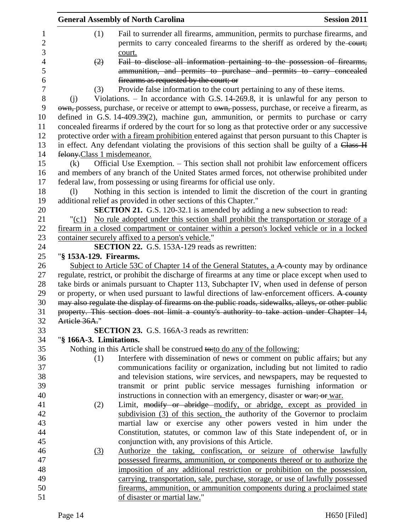|                         |                  | <b>General Assembly of North Carolina</b>                                                                                                                                                                                                                                                                                                                                                                                                                                                                                                                                                      | <b>Session 2011</b> |
|-------------------------|------------------|------------------------------------------------------------------------------------------------------------------------------------------------------------------------------------------------------------------------------------------------------------------------------------------------------------------------------------------------------------------------------------------------------------------------------------------------------------------------------------------------------------------------------------------------------------------------------------------------|---------------------|
|                         | (1)              | Fail to surrender all firearms, ammunition, permits to purchase firearms, and<br>permits to carry concealed firearms to the sheriff as ordered by the-court;<br>court.                                                                                                                                                                                                                                                                                                                                                                                                                         |                     |
|                         | (2)              | Fail to disclose all information pertaining to the possession of firearms,<br>ammunition, and permits to purchase and permits to carry concealed                                                                                                                                                                                                                                                                                                                                                                                                                                               |                     |
|                         |                  | firearms as requested by the court; or                                                                                                                                                                                                                                                                                                                                                                                                                                                                                                                                                         |                     |
|                         | (3)              | Provide false information to the court pertaining to any of these items.                                                                                                                                                                                                                                                                                                                                                                                                                                                                                                                       |                     |
| (i)                     |                  | Violations. $-$ In accordance with G.S. 14-269.8, it is unlawful for any person to<br>own, possess, purchase, or receive or attempt to own, possess, purchase, or receive a firearm, as<br>defined in G.S. 14-409.39(2), machine gun, ammunition, or permits to purchase or carry<br>concealed firearms if ordered by the court for so long as that protective order or any successive<br>protective order with a fiream prohibition entered against that person pursuant to this Chapter is<br>in effect. Any defendant violating the provisions of this section shall be guilty of a Class H |                     |
|                         |                  | felony. Class 1 misdemeanor.                                                                                                                                                                                                                                                                                                                                                                                                                                                                                                                                                                   |                     |
| (k)                     |                  | Official Use Exemption. - This section shall not prohibit law enforcement officers<br>and members of any branch of the United States armed forces, not otherwise prohibited under                                                                                                                                                                                                                                                                                                                                                                                                              |                     |
|                         |                  | federal law, from possessing or using firearms for official use only.                                                                                                                                                                                                                                                                                                                                                                                                                                                                                                                          |                     |
| (1)                     |                  | Nothing in this section is intended to limit the discretion of the court in granting                                                                                                                                                                                                                                                                                                                                                                                                                                                                                                           |                     |
|                         |                  | additional relief as provided in other sections of this Chapter."                                                                                                                                                                                                                                                                                                                                                                                                                                                                                                                              |                     |
|                         |                  | <b>SECTION 21.</b> G.S. 120-32.1 is amended by adding a new subsection to read:                                                                                                                                                                                                                                                                                                                                                                                                                                                                                                                |                     |
| "(c1)                   |                  | No rule adopted under this section shall prohibit the transportation or storage of a                                                                                                                                                                                                                                                                                                                                                                                                                                                                                                           |                     |
|                         |                  | firearm in a closed compartment or container within a person's locked vehicle or in a locked                                                                                                                                                                                                                                                                                                                                                                                                                                                                                                   |                     |
|                         |                  | container securely affixed to a person's vehicle."                                                                                                                                                                                                                                                                                                                                                                                                                                                                                                                                             |                     |
|                         |                  | <b>SECTION 22.</b> G.S. 153A-129 reads as rewritten:                                                                                                                                                                                                                                                                                                                                                                                                                                                                                                                                           |                     |
| "§ 153A-129. Firearms.  |                  |                                                                                                                                                                                                                                                                                                                                                                                                                                                                                                                                                                                                |                     |
|                         |                  | Subject to Article 53C of Chapter 14 of the General Statutes, a A-county may by ordinance                                                                                                                                                                                                                                                                                                                                                                                                                                                                                                      |                     |
|                         |                  | regulate, restrict, or prohibit the discharge of firearms at any time or place except when used to                                                                                                                                                                                                                                                                                                                                                                                                                                                                                             |                     |
|                         |                  | take birds or animals pursuant to Chapter 113, Subchapter IV, when used in defense of person                                                                                                                                                                                                                                                                                                                                                                                                                                                                                                   |                     |
|                         |                  | or property, or when used pursuant to lawful directions of law-enforcement officers. A county                                                                                                                                                                                                                                                                                                                                                                                                                                                                                                  |                     |
|                         |                  | may also regulate the display of firearms on the public roads, sidewalks, alleys, or other public                                                                                                                                                                                                                                                                                                                                                                                                                                                                                              |                     |
|                         |                  | property. This section does not limit a county's authority to take action under Chapter 14,                                                                                                                                                                                                                                                                                                                                                                                                                                                                                                    |                     |
| Article 36A."           |                  |                                                                                                                                                                                                                                                                                                                                                                                                                                                                                                                                                                                                |                     |
|                         |                  | <b>SECTION 23.</b> G.S. 166A-3 reads as rewritten:                                                                                                                                                                                                                                                                                                                                                                                                                                                                                                                                             |                     |
| "§ 166A-3. Limitations. |                  |                                                                                                                                                                                                                                                                                                                                                                                                                                                                                                                                                                                                |                     |
|                         |                  | Nothing in this Article shall be construed to:to do any of the following:                                                                                                                                                                                                                                                                                                                                                                                                                                                                                                                      |                     |
|                         | (1)              | Interfere with dissemination of news or comment on public affairs; but any                                                                                                                                                                                                                                                                                                                                                                                                                                                                                                                     |                     |
|                         |                  | communications facility or organization, including but not limited to radio                                                                                                                                                                                                                                                                                                                                                                                                                                                                                                                    |                     |
|                         |                  | and television stations, wire services, and newspapers, may be requested to                                                                                                                                                                                                                                                                                                                                                                                                                                                                                                                    |                     |
|                         |                  | transmit or print public service messages furnishing information or                                                                                                                                                                                                                                                                                                                                                                                                                                                                                                                            |                     |
|                         |                  | instructions in connection with an emergency, disaster or war; or war.                                                                                                                                                                                                                                                                                                                                                                                                                                                                                                                         |                     |
|                         | (2)              | Limit, modify or abridge modify, or abridge, except as provided in<br>subdivision (3) of this section, the authority of the Governor to proclaim                                                                                                                                                                                                                                                                                                                                                                                                                                               |                     |
|                         |                  | martial law or exercise any other powers vested in him under the                                                                                                                                                                                                                                                                                                                                                                                                                                                                                                                               |                     |
|                         |                  | Constitution, statutes, or common law of this State independent of, or in                                                                                                                                                                                                                                                                                                                                                                                                                                                                                                                      |                     |
|                         |                  | conjunction with, any provisions of this Article.                                                                                                                                                                                                                                                                                                                                                                                                                                                                                                                                              |                     |
|                         | $\left(3\right)$ | Authorize the taking, confiscation, or seizure of otherwise lawfully                                                                                                                                                                                                                                                                                                                                                                                                                                                                                                                           |                     |
|                         |                  | possessed firearms, ammunition, or components thereof or to authorize the                                                                                                                                                                                                                                                                                                                                                                                                                                                                                                                      |                     |
|                         |                  | imposition of any additional restriction or prohibition on the possession,                                                                                                                                                                                                                                                                                                                                                                                                                                                                                                                     |                     |
|                         |                  | carrying, transportation, sale, purchase, storage, or use of lawfully possessed                                                                                                                                                                                                                                                                                                                                                                                                                                                                                                                |                     |
|                         |                  | firearms, ammunition, or ammunition components during a proclaimed state                                                                                                                                                                                                                                                                                                                                                                                                                                                                                                                       |                     |
|                         |                  | of disaster or martial law."                                                                                                                                                                                                                                                                                                                                                                                                                                                                                                                                                                   |                     |